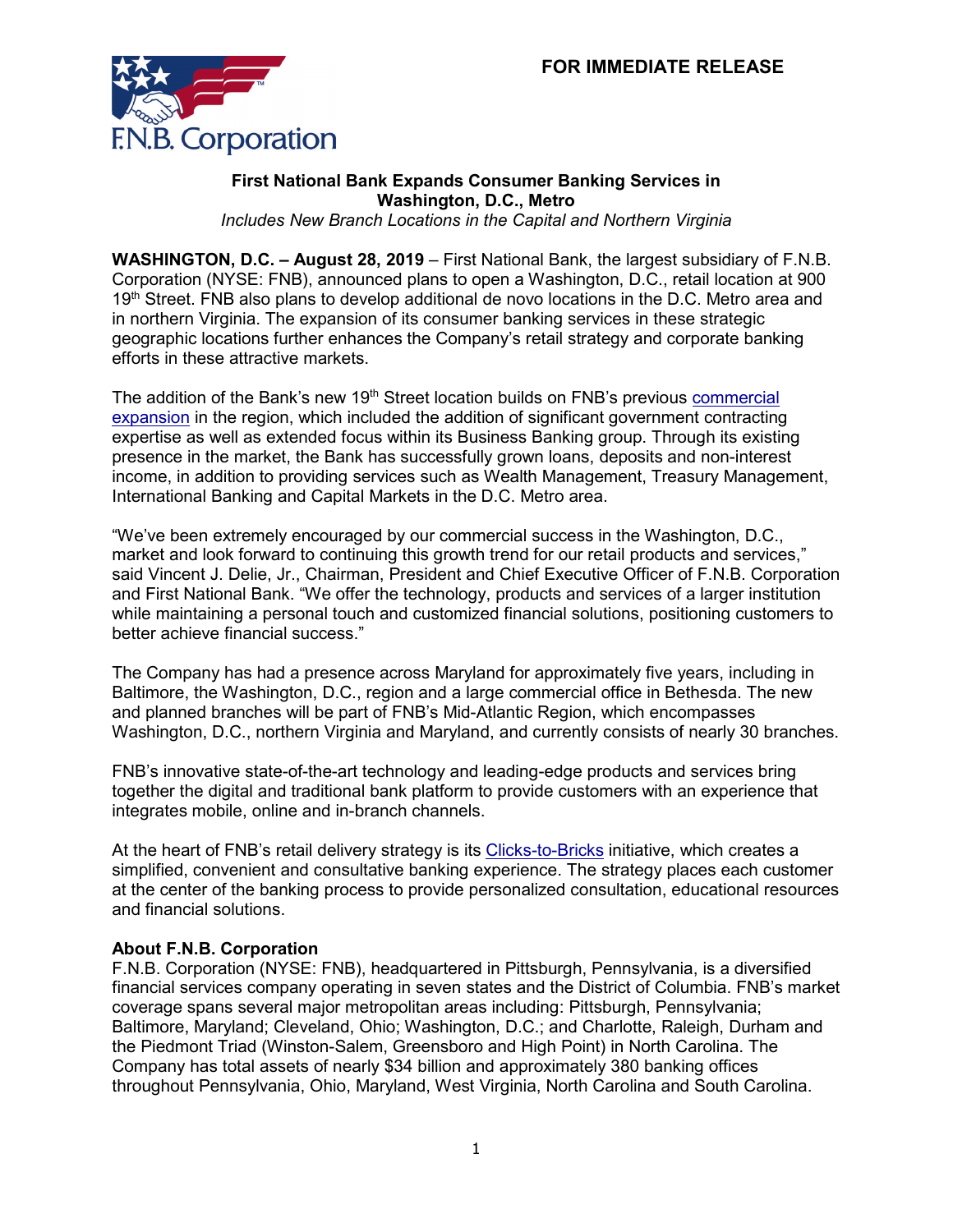

## **First National Bank Expands Consumer Banking Services in Washington, D.C., Metro**

*Includes New Branch Locations in the Capital and Northern Virginia*

**WASHINGTON, D.C. – August 28, 2019** – First National Bank, the largest subsidiary of F.N.B. Corporation (NYSE: FNB), announced plans to open a Washington, D.C., retail location at 900 19<sup>th</sup> Street. FNB also plans to develop additional de novo locations in the D.C. Metro area and in northern Virginia. The expansion of its consumer banking services in these strategic geographic locations further enhances the Company's retail strategy and corporate banking efforts in these attractive markets.

The addition of the Bank's new 19<sup>th</sup> Street location builds on FNB's previous commercial [expansion](https://www.fnb-online.com/about-us/News/2018/02/05/08/04/FNB-Expands-Services-for-Commercial-Clients-in-Washington-DC-020518) in the region, which included the addition of significant government contracting expertise as well as extended focus within its Business Banking group. Through its existing presence in the market, the Bank has successfully grown loans, deposits and non-interest income, in addition to providing services such as Wealth Management, Treasury Management, International Banking and Capital Markets in the D.C. Metro area.

"We've been extremely encouraged by our commercial success in the Washington, D.C., market and look forward to continuing this growth trend for our retail products and services," said Vincent J. Delie, Jr., Chairman, President and Chief Executive Officer of F.N.B. Corporation and First National Bank. "We offer the technology, products and services of a larger institution while maintaining a personal touch and customized financial solutions, positioning customers to better achieve financial success."

The Company has had a presence across Maryland for approximately five years, including in Baltimore, the Washington, D.C., region and a large commercial office in Bethesda. The new and planned branches will be part of FNB's Mid-Atlantic Region, which encompasses Washington, D.C., northern Virginia and Maryland, and currently consists of nearly 30 branches.

FNB's innovative state-of-the-art technology and leading-edge products and services bring together the digital and traditional bank platform to provide customers with an experience that integrates mobile, online and in-branch channels.

At the heart of FNB's retail delivery strategy is its [Clicks-to-Bricks](https://www.fnb-online.com/stand-alone-pages/Video/Innovation) initiative, which creates a simplified, convenient and consultative banking experience. The strategy places each customer at the center of the banking process to provide personalized consultation, educational resources and financial solutions.

## **About F.N.B. Corporation**

F.N.B. Corporation (NYSE: FNB), headquartered in Pittsburgh, Pennsylvania, is a diversified financial services company operating in seven states and the District of Columbia. FNB's market coverage spans several major metropolitan areas including: Pittsburgh, Pennsylvania; Baltimore, Maryland; Cleveland, Ohio; Washington, D.C.; and Charlotte, Raleigh, Durham and the Piedmont Triad (Winston-Salem, Greensboro and High Point) in North Carolina. The Company has total assets of nearly \$34 billion and approximately 380 banking offices throughout Pennsylvania, Ohio, Maryland, West Virginia, North Carolina and South Carolina.